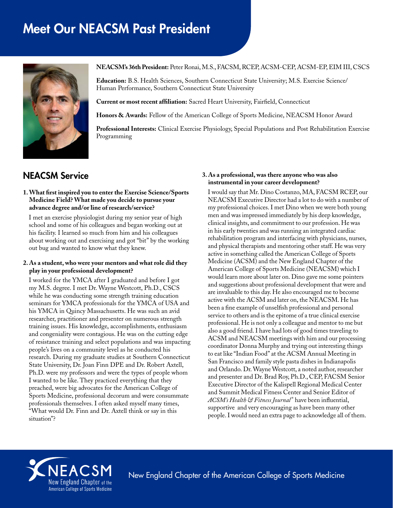# Meet Our NEACSM Past President



#### **NEACSM's 36th President:** Peter Ronai, M.S., FACSM, RCEP, ACSM-CEP, ACSM-EP, EIM III, CSCS

**Education:** B.S. Health Sciences, Southern Connecticut State University; M.S. Exercise Science/ Human Performance, Southern Connecticut State University

**Current or most recent affiliation:** Sacred Heart University, Fairfield, Connecticut

**Honors & Awards:** Fellow of the American College of Sports Medicine, NEACSM Honor Award

**Professional Interests:** Clinical Exercise Physiology, Special Populations and Post Rehabilitation Exercise Programming

## NEACSM Service

#### **1. What first inspired you to enter the Exercise Science/Sports Medicine Field? What made you decide to pursue your advance degree and/or line of research/service?**

I met an exercise physiologist during my senior year of high school and some of his colleagues and began working out at his facility. I learned so much from him and his colleagues about working out and exercising and got "bit" by the working out bug and wanted to know what they knew.

#### **2. As a student, who were your mentors and what role did they play in your professional development?**

I worked for the YMCA after I graduated and before I got my M.S. degree. I met Dr. Wayne Westcott, Ph.D., CSCS while he was conducting some strength training education seminars for YMCA professionals for the YMCA of USA and his YMCA in Quincy Massachusetts. He was such an avid researcher, practitioner and presenter on numerous strength training issues. His knowledge, accomplishments, enthusiasm and congeniality were contagious. He was on the cutting edge of resistance training and select populations and was impacting people's lives on a community level as he conducted his research. During my graduate studies at Southern Connecticut State University, Dr. Joan Finn DPE and Dr. Robert Axtell, Ph.D. were my professors and were the types of people whom I wanted to be like. They practiced everything that they preached, were big advocates for the American College of Sports Medicine, professional decorum and were consummate professionals themselves. I often asked myself many times, "What would Dr. Finn and Dr. Axtell think or say in this situation"?

#### **3. As a professional, was there anyone who was also instrumental in your career development?**

I would say that Mr. Dino Costanzo, MA, FACSM RCEP, our NEACSM Executive Director had a lot to do with a number of my professional choices. I met Dino when we were both young men and was impressed immediately by his deep knowledge, clinical insights, and commitment to our profession. He was in his early twenties and was running an integrated cardiac rehabilitation program and interfacing with physicians, nurses, and physical therapists and mentoring other staff. He was very active in something called the American College of Sports Medicine (ACSM) and the New England Chapter of the American College of Sports Medicine (NEACSM) which I would learn more about later on. Dino gave me some pointers and suggestions about professional development that were and are invaluable to this day. He also encouraged me to become active with the ACSM and later on, the NEACSM. He has been a fine example of unselfish professional and personal service to others and is the epitome of a true clinical exercise professional. He is not only a colleague and mentor to me but also a good friend. I have had lots of good times traveling to ACSM and NEACSM meetings with him and our processing coordinator Donna Murphy and trying out interesting things to eat like "Indian Food" at the ACSM Annual Meeting in San Francisco and family style pasta dishes in Indianapolis and Orlando. Dr. Wayne Westcott, a noted author, researcher and presenter and Dr. Brad Roy, Ph.D., CEP, FACSM Senior Executive Director of the Kalispell Regional Medical Center and Summit Medical Fitness Center and Senior Editor of *ACSM's Health & Fitness Journal* ® have been influential, supportive and very encouraging as have been many other people. I would need an extra page to acknowledge all of them.



New England Chapter of the American College of Sports Medicine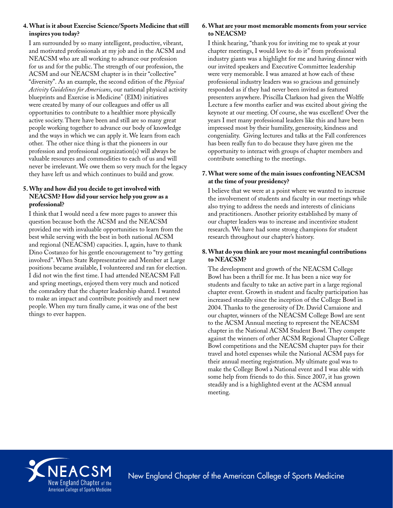## **4. What is it about Exercise Science/Sports Medicine that still inspires you today?**

I am surrounded by so many intelligent, productive, vibrant, and motivated professionals at my job and in the ACSM and NEACSM who are all working to advance our profession for us and for the public. The strength of our profession, the ACSM and our NEACSM chapter is in their "collective" "diversity". As an example, the second edition of the *Physical Activity Guidelines for Americans*, our national physical activity blueprints and Exercise is Medicine® (EIM) initiatives were created by many of our colleagues and offer us all opportunities to contribute to a healthier more physically active society. There have been and still are so many great people working together to advance our body of knowledge and the ways in which we can apply it. We learn from each other. The other nice thing is that the pioneers in our profession and professional organization(s) will always be valuable resources and commodities to each of us and will never be irrelevant. We owe them so very much for the legacy they have left us and which continues to build and grow.

## **5. Why and how did you decide to get involved with NEACSM? How did your service help you grow as a professional?**

I think that I would need a few more pages to answer this question because both the ACSM and the NEACSM provided me with invaluable opportunities to learn from the best while serving with the best in both national ACSM and regional (NEACSM) capacities. I, again, have to thank Dino Costanzo for his gentle encouragement to "try getting involved". When State Representative and Member at Large positions became available, I volunteered and ran for election. I did not win the first time. I had attended NEACSM Fall and spring meetings, enjoyed them very much and noticed the comradery that the chapter leadership shared. I wanted to make an impact and contribute positively and meet new people. When my turn finally came, it was one of the best things to ever happen.

## **6. What are your most memorable moments from your service to NEACSM?**

I think hearing, "thank you for inviting me to speak at your chapter meetings, I would love to do it" from professional industry giants was a highlight for me and having dinner with our invited speakers and Executive Committee leadership were very memorable. I was amazed at how each of these professional industry leaders was so gracious and genuinely responded as if they had never been invited as featured presenters anywhere. Priscilla Clarkson had given the Wolffe Lecture a few months earlier and was excited about giving the keynote at our meeting. Of course, she was excellent! Over the years I met many professional leaders like this and have been impressed most by their humility, generosity, kindness and congeniality. Giving lectures and talks at the Fall conferences has been really fun to do because they have given me the opportunity to interact with groups of chapter members and contribute something to the meetings.

### **7. What were some of the main issues confronting NEACSM at the time of your presidency?**

I believe that we were at a point where we wanted to increase the involvement of students and faculty in our meetings while also trying to address the needs and interests of clinicians and practitioners. Another priority established by many of our chapter leaders was to increase and incentivize student research. We have had some strong champions for student research throughout our chapter's history.

#### **8. What do you think are your most meaningful contributions to NEACSM?**

The development and growth of the NEACSM College Bowl has been a thrill for me. It has been a nice way for students and faculty to take an active part in a large regional chapter event. Growth in student and faculty participation has increased steadily since the inception of the College Bowl in 2004. Thanks to the generosity of Dr. David Camaione and our chapter, winners of the NEACSM College Bowl are sent to the ACSM Annual meeting to represent the NEACSM chapter in the National ACSM Student Bowl. They compete against the winners of other ACSM Regional Chapter College Bowl competitions and the NEACSM chapter pays for their travel and hotel expenses while the National ACSM pays for their annual meeting registration. My ultimate goal was to make the College Bowl a National event and I was able with some help from friends to do this. Since 2007, it has grown steadily and is a highlighted event at the ACSM annual meeting.



New England Chapter of the American College of Sports Medicine New England Chapter of the American College of Sports Medicine